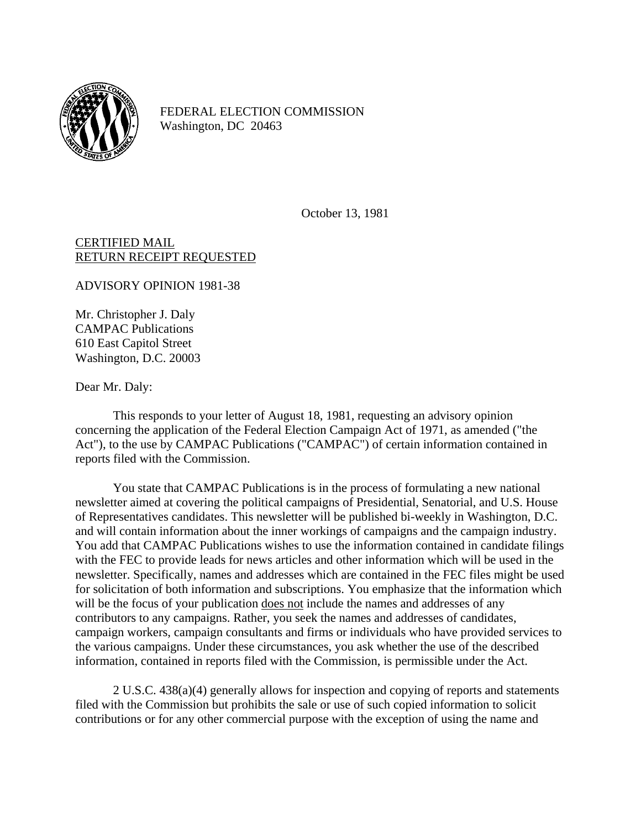

FEDERAL ELECTION COMMISSION Washington, DC 20463

October 13, 1981

## CERTIFIED MAIL RETURN RECEIPT REQUESTED

ADVISORY OPINION 1981-38

Mr. Christopher J. Daly CAMPAC Publications 610 East Capitol Street Washington, D.C. 20003

Dear Mr. Daly:

This responds to your letter of August 18, 1981, requesting an advisory opinion concerning the application of the Federal Election Campaign Act of 1971, as amended ("the Act"), to the use by CAMPAC Publications ("CAMPAC") of certain information contained in reports filed with the Commission.

You state that CAMPAC Publications is in the process of formulating a new national newsletter aimed at covering the political campaigns of Presidential, Senatorial, and U.S. House of Representatives candidates. This newsletter will be published bi-weekly in Washington, D.C. and will contain information about the inner workings of campaigns and the campaign industry. You add that CAMPAC Publications wishes to use the information contained in candidate filings with the FEC to provide leads for news articles and other information which will be used in the newsletter. Specifically, names and addresses which are contained in the FEC files might be used for solicitation of both information and subscriptions. You emphasize that the information which will be the focus of your publication <u>does not</u> include the names and addresses of any contributors to any campaigns. Rather, you seek the names and addresses of candidates, campaign workers, campaign consultants and firms or individuals who have provided services to the various campaigns. Under these circumstances, you ask whether the use of the described information, contained in reports filed with the Commission, is permissible under the Act.

2 U.S.C. 438(a)(4) generally allows for inspection and copying of reports and statements filed with the Commission but prohibits the sale or use of such copied information to solicit contributions or for any other commercial purpose with the exception of using the name and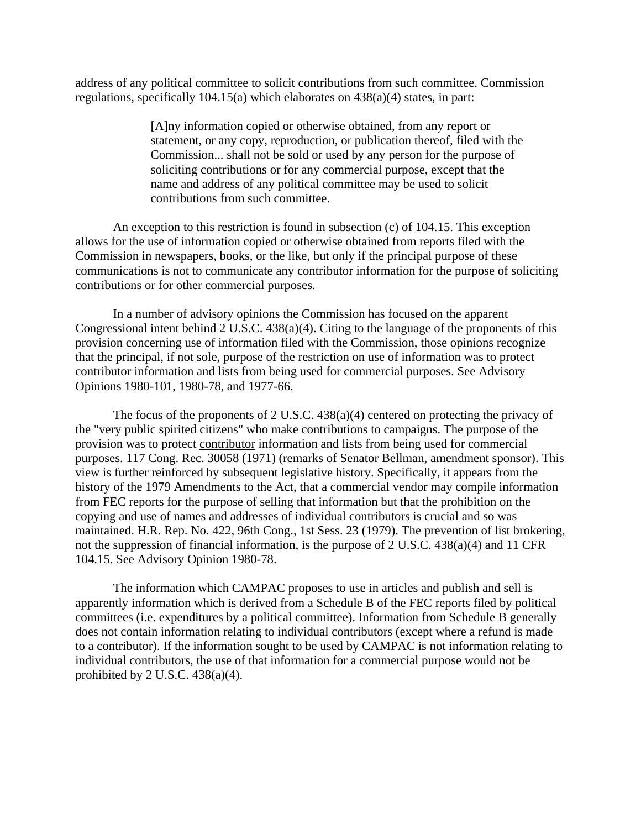address of any political committee to solicit contributions from such committee. Commission regulations, specifically 104.15(a) which elaborates on 438(a)(4) states, in part:

> [A]ny information copied or otherwise obtained, from any report or statement, or any copy, reproduction, or publication thereof, filed with the Commission... shall not be sold or used by any person for the purpose of soliciting contributions or for any commercial purpose, except that the name and address of any political committee may be used to solicit contributions from such committee.

An exception to this restriction is found in subsection (c) of 104.15. This exception allows for the use of information copied or otherwise obtained from reports filed with the Commission in newspapers, books, or the like, but only if the principal purpose of these communications is not to communicate any contributor information for the purpose of soliciting contributions or for other commercial purposes.

In a number of advisory opinions the Commission has focused on the apparent Congressional intent behind 2 U.S.C. 438(a)(4). Citing to the language of the proponents of this provision concerning use of information filed with the Commission, those opinions recognize that the principal, if not sole, purpose of the restriction on use of information was to protect contributor information and lists from being used for commercial purposes. See Advisory Opinions 1980-101, 1980-78, and 1977-66.

The focus of the proponents of 2 U.S.C. 438(a)(4) centered on protecting the privacy of the "very public spirited citizens" who make contributions to campaigns. The purpose of the provision was to protect contributor information and lists from being used for commercial purposes. 117 Cong. Rec. 30058 (1971) (remarks of Senator Bellman, amendment sponsor). This view is further reinforced by subsequent legislative history. Specifically, it appears from the history of the 1979 Amendments to the Act, that a commercial vendor may compile information from FEC reports for the purpose of selling that information but that the prohibition on the copying and use of names and addresses of individual contributors is crucial and so was maintained. H.R. Rep. No. 422, 96th Cong., 1st Sess. 23 (1979). The prevention of list brokering, not the suppression of financial information, is the purpose of 2 U.S.C. 438(a)(4) and 11 CFR 104.15. See Advisory Opinion 1980-78.

The information which CAMPAC proposes to use in articles and publish and sell is apparently information which is derived from a Schedule B of the FEC reports filed by political committees (i.e. expenditures by a political committee). Information from Schedule B generally does not contain information relating to individual contributors (except where a refund is made to a contributor). If the information sought to be used by CAMPAC is not information relating to individual contributors, the use of that information for a commercial purpose would not be prohibited by 2 U.S.C.  $438(a)(4)$ .